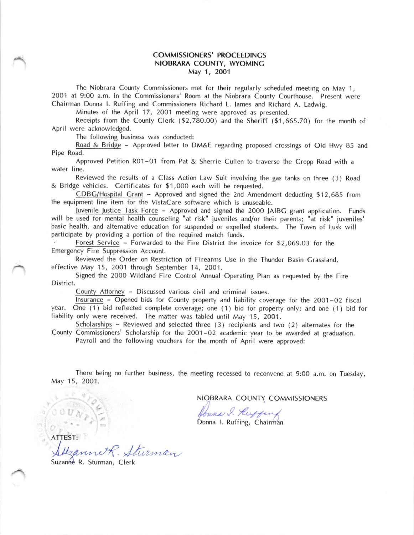## COMMISSIONERS' PROCEEDINGS NIOBRARA COUNTY, WYOMINC May 1, 2001

The Niobrara County Commissioners met for their regularly scheduled meeting on May 1, 2001 at 9:00 a.m- in the Commissioners' Room at the Niobrara County Courthouse. Present were Chairman Donna l. Ruffing and Commissioners Richard L. lames and Richard A. Ladwig.

Minutes of the April 17, 2QO1 meeting were approved as presented.

Receipts from the County Clerk (\$2,780.00) and the Sheriff (\$1,665.70) for the month of April were acknowledged.

The following business was conducted:

Road & Bridge - Approved letter to DM&E regarding proposed crossings of Old Hwy 85 and Pipe Road.

Approved Petition R01 -01 from Pat & Sherrie Cullen to traverse the Cropp Road with <sup>a</sup> water line.

Reviewed the results of a Class Action Law Suit involving the gas tanks on three (3) Road & Bridge vehicles. Certificates for \$1,000 each will be requested.

 $CDBG/H$ ospital Grant  $-$  Approved and signed the 2nd Amendment deducting \$12,685 from the equipment line item for the VistaCare software which is unuseable.

Juvenile Justice Task Force - Approved and signed the 2000 JAIBC grant application. Funds will be used for mental health counseling "at risk" juveniles and/or their parents; "at risk" juveniles' basic health, and alternative education for suspended or expelled students. The Town of Lusk will participate by providing a portion of the required match funds.

Forest Service - Forwarded to the Fire District the invoice for \$2,069.O3 for the Emergency Fire Suppression Account.

Reviewed the Order on Restriction of Firearms Use in the Thunder Basin Crassland, effective May 15, 2001 through September 14, 2001.

Signed the 2000 Wildland Fire Control Annual Operating Plan as requested by the Fire District.

County Attorney - Discussed various civil and criminal issues.

lnsurance - Opened bids for County property and liability coverage for the 2001 -02 fiscal year. One (1) bid reflected complete coverage; one (1) bid for property only; and one (1) bid for liability only were received. The matter was tabled until May 15, 2001.

Scholarships - Reviewed and selected three (3) recipients and two (2) alternates for the County Commissioners' Scholarship for the 2001 -02 academic year to be awarded at graduation. Payroll and the following vouchers for the month of April were approved;

There being no further business, the meeting recessed to reconvene at 9:00 a.m. on Tuesday, May 15, 2001.

NIOBRARA COUNTY, COMMISSIONERS

Joune I. Ruffen

ATTEST: Illzanne R. Stur mar

Suzanne R. Sturman, Clerk